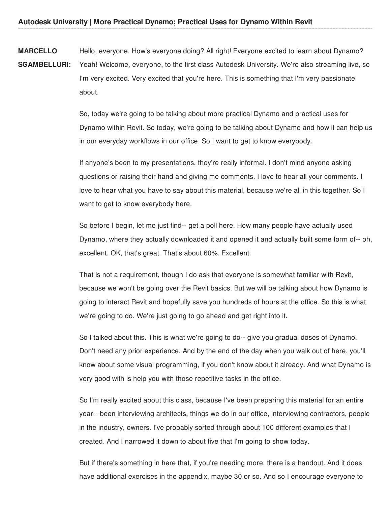**MARCELLO** Hello, everyone. How's everyone doing? All right! Everyone excited to learn about Dynamo?

**SGAMBELLURI:** Yeah! Welcome, everyone, to the first class Autodesk University. We're also streaming live, so I'm very excited. Very excited that you're here. This is something that I'm very passionate about.

> So, today we're going to be talking about more practical Dynamo and practical uses for Dynamo within Revit. So today, we're going to be talking about Dynamo and how it can help us in our everyday workflows in our office. So I want to get to know everybody.

If anyone's been to my presentations, they're really informal. I don't mind anyone asking questions or raising their hand and giving me comments. I love to hear all your comments. I love to hear what you have to say about this material, because we're all in this together. So I want to get to know everybody here.

So before I begin, let me just find-- get a poll here. How many people have actually used Dynamo, where they actually downloaded it and opened it and actually built some form of-- oh, excellent. OK, that's great. That's about 60%. Excellent.

That is not a requirement, though I do ask that everyone is somewhat familiar with Revit, because we won't be going over the Revit basics. But we will be talking about how Dynamo is going to interact Revit and hopefully save you hundreds of hours at the office. So this is what we're going to do. We're just going to go ahead and get right into it.

So I talked about this. This is what we're going to do-- give you gradual doses of Dynamo. Don't need any prior experience. And by the end of the day when you walk out of here, you'll know about some visual programming, if you don't know about it already. And what Dynamo is very good with is help you with those repetitive tasks in the office.

So I'm really excited about this class, because I've been preparing this material for an entire year-- been interviewing architects, things we do in our office, interviewing contractors, people in the industry, owners. I've probably sorted through about 100 different examples that I created. And I narrowed it down to about five that I'm going to show today.

But if there's something in here that, if you're needing more, there is a handout. And it does have additional exercises in the appendix, maybe 30 or so. And so I encourage everyone to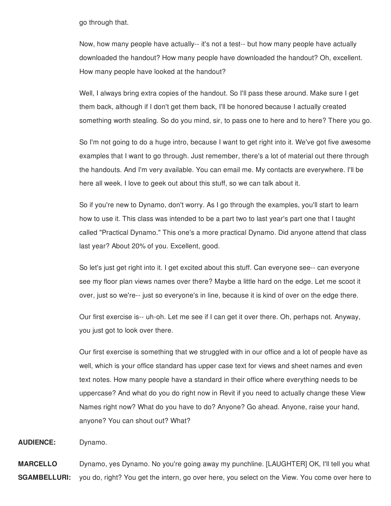go through that.

Now, how many people have actually-- it's not a test-- but how many people have actually downloaded the handout? How many people have downloaded the handout? Oh, excellent. How many people have looked at the handout?

Well, I always bring extra copies of the handout. So I'll pass these around. Make sure I get them back, although if I don't get them back, I'll be honored because I actually created something worth stealing. So do you mind, sir, to pass one to here and to here? There you go.

So I'm not going to do a huge intro, because I want to get right into it. We've got five awesome examples that I want to go through. Just remember, there's a lot of material out there through the handouts. And I'm very available. You can email me. My contacts are everywhere. I'll be here all week. I love to geek out about this stuff, so we can talk about it.

So if you're new to Dynamo, don't worry. As I go through the examples, you'll start to learn how to use it. This class was intended to be a part two to last year's part one that I taught called "Practical Dynamo." This one's a more practical Dynamo. Did anyone attend that class last year? About 20% of you. Excellent, good.

So let's just get right into it. I get excited about this stuff. Can everyone see-- can everyone see my floor plan views names over there? Maybe a little hard on the edge. Let me scoot it over, just so we're-- just so everyone's in line, because it is kind of over on the edge there.

Our first exercise is-- uh-oh. Let me see if I can get it over there. Oh, perhaps not. Anyway, you just got to look over there.

Our first exercise is something that we struggled with in our office and a lot of people have as well, which is your office standard has upper case text for views and sheet names and even text notes. How many people have a standard in their office where everything needs to be uppercase? And what do you do right now in Revit if you need to actually change these View Names right now? What do you have to do? Anyone? Go ahead. Anyone, raise your hand, anyone? You can shout out? What?

**AUDIENCE:** Dynamo.

**MARCELLO SGAMBELLURI:** Dynamo, yes Dynamo. No you're going away my punchline. [LAUGHTER] OK, I'll tell you what you do, right? You get the intern, go over here, you select on the View. You come over here to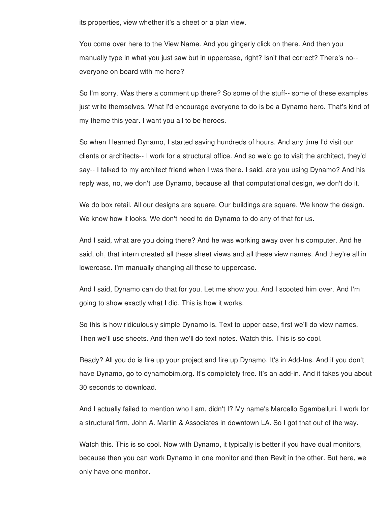its properties, view whether it's a sheet or a plan view.

You come over here to the View Name. And you gingerly click on there. And then you manually type in what you just saw but in uppercase, right? Isn't that correct? There's no- everyone on board with me here?

So I'm sorry. Was there a comment up there? So some of the stuff-- some of these examples just write themselves. What I'd encourage everyone to do is be a Dynamo hero. That's kind of my theme this year. I want you all to be heroes.

So when I learned Dynamo, I started saving hundreds of hours. And any time I'd visit our clients or architects-- I work for a structural office. And so we'd go to visit the architect, they'd say-- I talked to my architect friend when I was there. I said, are you using Dynamo? And his reply was, no, we don't use Dynamo, because all that computational design, we don't do it.

We do box retail. All our designs are square. Our buildings are square. We know the design. We know how it looks. We don't need to do Dynamo to do any of that for us.

And I said, what are you doing there? And he was working away over his computer. And he said, oh, that intern created all these sheet views and all these view names. And they're all in lowercase. I'm manually changing all these to uppercase.

And I said, Dynamo can do that for you. Let me show you. And I scooted him over. And I'm going to show exactly what I did. This is how it works.

So this is how ridiculously simple Dynamo is. Text to upper case, first we'll do view names. Then we'll use sheets. And then we'll do text notes. Watch this. This is so cool.

Ready? All you do is fire up your project and fire up Dynamo. It's in Add-Ins. And if you don't have Dynamo, go to dynamobim.org. It's completely free. It's an add-in. And it takes you about 30 seconds to download.

And I actually failed to mention who I am, didn't I? My name's Marcello Sgambelluri. I work for a structural firm, John A. Martin & Associates in downtown LA. So I got that out of the way.

Watch this. This is so cool. Now with Dynamo, it typically is better if you have dual monitors, because then you can work Dynamo in one monitor and then Revit in the other. But here, we only have one monitor.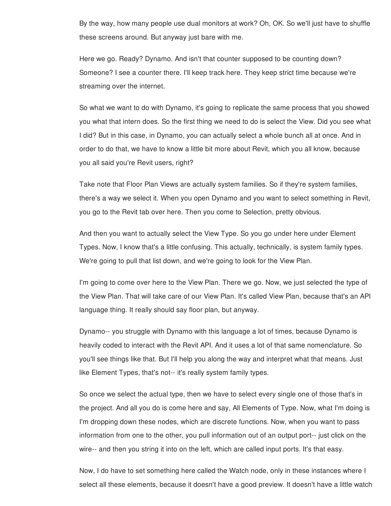By the way, how many people use dual monitors at work? Oh, OK. So we'll just have to shuffle these screens around. But anyway just bare with me.

Here we go. Ready? Dynamo. And isn't that counter supposed to be counting down? Someone? I see a counter there. I'll keep track here. They keep strict time because we're streaming over the internet.

So what we want to do with Dynamo, it's going to replicate the same process that you showed you what that intern does. So the first thing we need to do is select the View. Did you see what I did? But in this case, in Dynamo, you can actually select a whole bunch all at once. And in order to do that, we have to know a little bit more about Revit, which you all know, because you all said you're Revit users, right?

Take note that Floor Plan Views are actually system families. So if they're system families, there's a way we select it. When you open Dynamo and you want to select something in Revit, you go to the Revit tab over here. Then you come to Selection, pretty obvious.

And then you want to actually select the View Type. So you go under here under Element Types. Now, I know that's a little confusing. This actually, technically, is system family types. We're going to pull that list down, and we're going to look for the View Plan.

I'm going to come over here to the View Plan. There we go. Now, we just selected the type of the View Plan. That will take care of our View Plan. It's called View Plan, because that's an API language thing. It really should say floor plan, but anyway.

Dynamo-- you struggle with Dynamo with this language a lot of times, because Dynamo is heavily coded to interact with the Revit API. And it uses a lot of that same nomenclature. So you'll see things like that. But I'll help you along the way and interpret what that means. Just like Element Types, that's not-- it's really system family types.

So once we select the actual type, then we have to select every single one of those that's in the project. And all you do is come here and say, All Elements of Type. Now, what I'm doing is I'm dropping down these nodes, which are discrete functions. Now, when you want to pass information from one to the other, you pull information out of an output port-- just click on the wire-- and then you string it into on the left, which are called input ports. It's that easy.

Now, I do have to set something here called the Watch node, only in these instances where I select all these elements, because it doesn't have a good preview. It doesn't have a little watch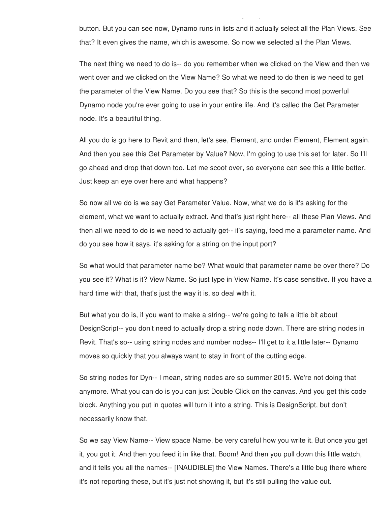button. But you can see now, Dynamo runs in lists and it actually select all the Plan Views. See that? It even gives the name, which is awesome. So now we selected all the Plan Views.

select all these elements, because it doesn't have a good preview. It doesn't have a little watch

The next thing we need to do is-- do you remember when we clicked on the View and then we went over and we clicked on the View Name? So what we need to do then is we need to get the parameter of the View Name. Do you see that? So this is the second most powerful Dynamo node you're ever going to use in your entire life. And it's called the Get Parameter node. It's a beautiful thing.

All you do is go here to Revit and then, let's see, Element, and under Element, Element again. And then you see this Get Parameter by Value? Now, I'm going to use this set for later. So I'll go ahead and drop that down too. Let me scoot over, so everyone can see this a little better. Just keep an eye over here and what happens?

So now all we do is we say Get Parameter Value. Now, what we do is it's asking for the element, what we want to actually extract. And that's just right here-- all these Plan Views. And then all we need to do is we need to actually get-- it's saying, feed me a parameter name. And do you see how it says, it's asking for a string on the input port?

So what would that parameter name be? What would that parameter name be over there? Do you see it? What is it? View Name. So just type in View Name. It's case sensitive. If you have a hard time with that, that's just the way it is, so deal with it.

But what you do is, if you want to make a string-- we're going to talk a little bit about DesignScript-- you don't need to actually drop a string node down. There are string nodes in Revit. That's so-- using string nodes and number nodes-- I'll get to it a little later-- Dynamo moves so quickly that you always want to stay in front of the cutting edge.

So string nodes for Dyn-- I mean, string nodes are so summer 2015. We're not doing that anymore. What you can do is you can just Double Click on the canvas. And you get this code block. Anything you put in quotes will turn it into a string. This is DesignScript, but don't necessarily know that.

So we say View Name-- View space Name, be very careful how you write it. But once you get it, you got it. And then you feed it in like that. Boom! And then you pull down this little watch, and it tells you all the names-- [INAUDIBLE] the View Names. There's a little bug there where it's not reporting these, but it's just not showing it, but it's still pulling the value out.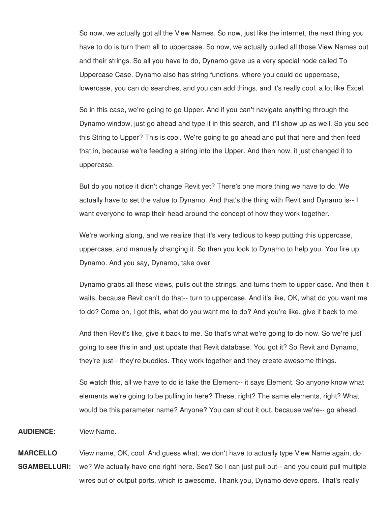So now, we actually got all the View Names. So now, just like the internet, the next thing you have to do is turn them all to uppercase. So now, we actually pulled all those View Names out and their strings. So all you have to do, Dynamo gave us a very special node called To Uppercase Case. Dynamo also has string functions, where you could do uppercase, lowercase, you can do searches, and you can add things, and it's really cool, a lot like Excel.

So in this case, we're going to go Upper. And if you can't navigate anything through the Dynamo window, just go ahead and type it in this search, and it'll show up as well. So you see this String to Upper? This is cool. We're going to go ahead and put that here and then feed that in, because we're feeding a string into the Upper. And then now, it just changed it to uppercase.

But do you notice it didn't change Revit yet? There's one more thing we have to do. We actually have to set the value to Dynamo. And that's the thing with Revit and Dynamo is-- I want everyone to wrap their head around the concept of how they work together.

We're working along, and we realize that it's very tedious to keep putting this uppercase, uppercase, and manually changing it. So then you look to Dynamo to help you. You fire up Dynamo. And you say, Dynamo, take over.

Dynamo grabs all these views, pulls out the strings, and turns them to upper case. And then it waits, because Revit can't do that-- turn to uppercase. And it's like, OK, what do you want me to do? Come on, I got this, what do you want me to do? And you're like, give it back to me.

And then Revit's like, give it back to me. So that's what we're going to do now. So we're just going to see this in and just update that Revit database. You got it? So Revit and Dynamo, they're just-- they're buddies. They work together and they create awesome things.

So watch this, all we have to do is take the Element-- it says Element. So anyone know what elements we're going to be pulling in here? These, right? The same elements, right? What would be this parameter name? Anyone? You can shout it out, because we're-- go ahead.

**AUDIENCE:** View Name.

**MARCELLO SGAMBELLURI:** View name, OK, cool. And guess what, we don't have to actually type View Name again, do we? We actually have one right here. See? So I can just pull out-- and you could pull multiple wires out of output ports, which is awesome. Thank you, Dynamo developers. That's really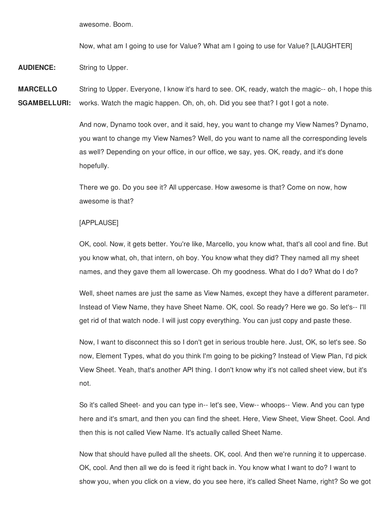awesome. Boom.

Now, what am I going to use for Value? What am I going to use for Value? [LAUGHTER]

**AUDIENCE:** String to Upper.

**MARCELLO SGAMBELLURI:** String to Upper. Everyone, I know it's hard to see. OK, ready, watch the magic-- oh, I hope this works. Watch the magic happen. Oh, oh, oh. Did you see that? I got I got a note.

> And now, Dynamo took over, and it said, hey, you want to change my View Names? Dynamo, you want to change my View Names? Well, do you want to name all the corresponding levels as well? Depending on your office, in our office, we say, yes. OK, ready, and it's done hopefully.

There we go. Do you see it? All uppercase. How awesome is that? Come on now, how awesome is that?

#### [APPLAUSE]

OK, cool. Now, it gets better. You're like, Marcello, you know what, that's all cool and fine. But you know what, oh, that intern, oh boy. You know what they did? They named all my sheet names, and they gave them all lowercase. Oh my goodness. What do I do? What do I do?

Well, sheet names are just the same as View Names, except they have a different parameter. Instead of View Name, they have Sheet Name. OK, cool. So ready? Here we go. So let's-- I'll get rid of that watch node. I will just copy everything. You can just copy and paste these.

Now, I want to disconnect this so I don't get in serious trouble here. Just, OK, so let's see. So now, Element Types, what do you think I'm going to be picking? Instead of View Plan, I'd pick View Sheet. Yeah, that's another API thing. I don't know why it's not called sheet view, but it's not.

So it's called Sheet- and you can type in-- let's see, View-- whoops-- View. And you can type here and it's smart, and then you can find the sheet. Here, View Sheet, View Sheet. Cool. And then this is not called View Name. It's actually called Sheet Name.

Now that should have pulled all the sheets. OK, cool. And then we're running it to uppercase. OK, cool. And then all we do is feed it right back in. You know what I want to do? I want to show you, when you click on a view, do you see here, it's called Sheet Name, right? So we got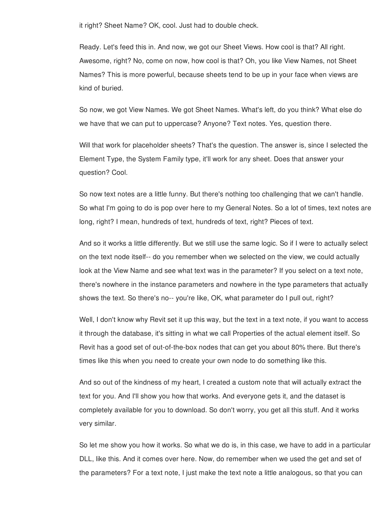it right? Sheet Name? OK, cool. Just had to double check.

Ready. Let's feed this in. And now, we got our Sheet Views. How cool is that? All right. Awesome, right? No, come on now, how cool is that? Oh, you like View Names, not Sheet Names? This is more powerful, because sheets tend to be up in your face when views are kind of buried.

So now, we got View Names. We got Sheet Names. What's left, do you think? What else do we have that we can put to uppercase? Anyone? Text notes. Yes, question there.

Will that work for placeholder sheets? That's the question. The answer is, since I selected the Element Type, the System Family type, it'll work for any sheet. Does that answer your question? Cool.

So now text notes are a little funny. But there's nothing too challenging that we can't handle. So what I'm going to do is pop over here to my General Notes. So a lot of times, text notes are long, right? I mean, hundreds of text, hundreds of text, right? Pieces of text.

And so it works a little differently. But we still use the same logic. So if I were to actually select on the text node itself-- do you remember when we selected on the view, we could actually look at the View Name and see what text was in the parameter? If you select on a text note, there's nowhere in the instance parameters and nowhere in the type parameters that actually shows the text. So there's no-- you're like, OK, what parameter do I pull out, right?

Well, I don't know why Revit set it up this way, but the text in a text note, if you want to access it through the database, it's sitting in what we call Properties of the actual element itself. So Revit has a good set of out-of-the-box nodes that can get you about 80% there. But there's times like this when you need to create your own node to do something like this.

And so out of the kindness of my heart, I created a custom note that will actually extract the text for you. And I'll show you how that works. And everyone gets it, and the dataset is completely available for you to download. So don't worry, you get all this stuff. And it works very similar.

So let me show you how it works. So what we do is, in this case, we have to add in a particular DLL, like this. And it comes over here. Now, do remember when we used the get and set of the parameters? For a text note, I just make the text note a little analogous, so that you can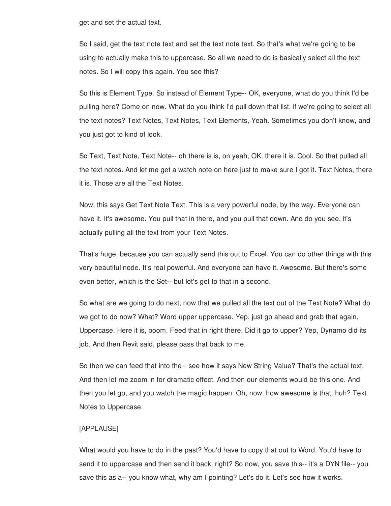get and set the actual text.

So I said, get the text note text and set the text note text. So that's what we're going to be using to actually make this to uppercase. So all we need to do is basically select all the text notes. So I will copy this again. You see this?

So this is Element Type. So instead of Element Type-- OK, everyone, what do you think I'd be pulling here? Come on now. What do you think I'd pull down that list, if we're going to select all the text notes? Text Notes, Text Notes, Text Elements, Yeah. Sometimes you don't know, and you just got to kind of look.

So Text, Text Note, Text Note-- oh there is is, on yeah, OK, there it is. Cool. So that pulled all the text notes. And let me get a watch note on here just to make sure I got it. Text Notes, there it is. Those are all the Text Notes.

Now, this says Get Text Note Text. This is a very powerful node, by the way. Everyone can have it. It's awesome. You pull that in there, and you pull that down. And do you see, it's actually pulling all the text from your Text Notes.

That's huge, because you can actually send this out to Excel. You can do other things with this very beautiful node. It's real powerful. And everyone can have it. Awesome. But there's some even better, which is the Set-- but let's get to that in a second.

So what are we going to do next, now that we pulled all the text out of the Text Note? What do we got to do now? What? Word upper uppercase. Yep, just go ahead and grab that again, Uppercase. Here it is, boom. Feed that in right there. Did it go to upper? Yep, Dynamo did its job. And then Revit said, please pass that back to me.

So then we can feed that into the-- see how it says New String Value? That's the actual text. And then let me zoom in for dramatic effect. And then our elements would be this one. And then you let go, and you watch the magic happen. Oh, now, how awesome is that, huh? Text Notes to Uppercase.

#### [APPLAUSE]

What would you have to do in the past? You'd have to copy that out to Word. You'd have to send it to uppercase and then send it back, right? So now, you save this-- it's a DYN file-- you save this as a-- you know what, why am I pointing? Let's do it. Let's see how it works.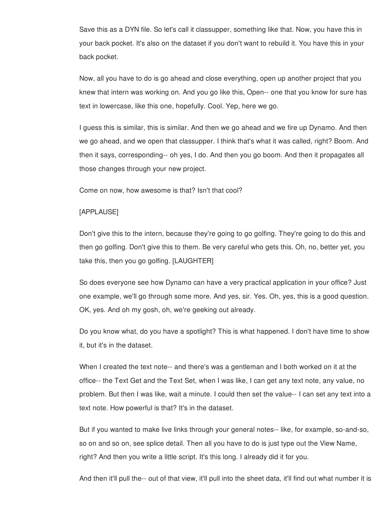Save this as a DYN file. So let's call it classupper, something like that. Now, you have this in your back pocket. It's also on the dataset if you don't want to rebuild it. You have this in your back pocket.

Now, all you have to do is go ahead and close everything, open up another project that you knew that intern was working on. And you go like this, Open-- one that you know for sure has text in lowercase, like this one, hopefully. Cool. Yep, here we go.

I guess this is similar, this is similar. And then we go ahead and we fire up Dynamo. And then we go ahead, and we open that classupper. I think that's what it was called, right? Boom. And then it says, corresponding-- oh yes, I do. And then you go boom. And then it propagates all those changes through your new project.

Come on now, how awesome is that? Isn't that cool?

## [APPLAUSE]

Don't give this to the intern, because they're going to go golfing. They're going to do this and then go golfing. Don't give this to them. Be very careful who gets this. Oh, no, better yet, you take this, then you go golfing. [LAUGHTER]

So does everyone see how Dynamo can have a very practical application in your office? Just one example, we'll go through some more. And yes, sir. Yes. Oh, yes, this is a good question. OK, yes. And oh my gosh, oh, we're geeking out already.

Do you know what, do you have a spotlight? This is what happened. I don't have time to show it, but it's in the dataset.

When I created the text note-- and there's was a gentleman and I both worked on it at the office-- the Text Get and the Text Set, when I was like, I can get any text note, any value, no problem. But then I was like, wait a minute. I could then set the value-- I can set any text into a text note. How powerful is that? It's in the dataset.

But if you wanted to make live links through your general notes-- like, for example, so-and-so, so on and so on, see splice detail. Then all you have to do is just type out the View Name, right? And then you write a little script. It's this long. I already did it for you.

And then it'll pull the-- out of that view, it'll pull into the sheet data, it'll find out what number it is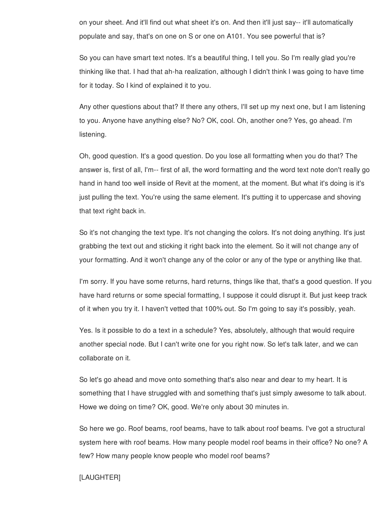on your sheet. And it'll find out what sheet it's on. And then it'll just say-- it'll automatically populate and say, that's on one on S or one on A101. You see powerful that is?

So you can have smart text notes. It's a beautiful thing, I tell you. So I'm really glad you're thinking like that. I had that ah-ha realization, although I didn't think I was going to have time for it today. So I kind of explained it to you.

Any other questions about that? If there any others, I'll set up my next one, but I am listening to you. Anyone have anything else? No? OK, cool. Oh, another one? Yes, go ahead. I'm listening.

Oh, good question. It's a good question. Do you lose all formatting when you do that? The answer is, first of all, I'm-- first of all, the word formatting and the word text note don't really go hand in hand too well inside of Revit at the moment, at the moment. But what it's doing is it's just pulling the text. You're using the same element. It's putting it to uppercase and shoving that text right back in.

So it's not changing the text type. It's not changing the colors. It's not doing anything. It's just grabbing the text out and sticking it right back into the element. So it will not change any of your formatting. And it won't change any of the color or any of the type or anything like that.

I'm sorry. If you have some returns, hard returns, things like that, that's a good question. If you have hard returns or some special formatting, I suppose it could disrupt it. But just keep track of it when you try it. I haven't vetted that 100% out. So I'm going to say it's possibly, yeah.

Yes. Is it possible to do a text in a schedule? Yes, absolutely, although that would require another special node. But I can't write one for you right now. So let's talk later, and we can collaborate on it.

So let's go ahead and move onto something that's also near and dear to my heart. It is something that I have struggled with and something that's just simply awesome to talk about. Howe we doing on time? OK, good. We're only about 30 minutes in.

So here we go. Roof beams, roof beams, have to talk about roof beams. I've got a structural system here with roof beams. How many people model roof beams in their office? No one? A few? How many people know people who model roof beams?

## [LAUGHTER]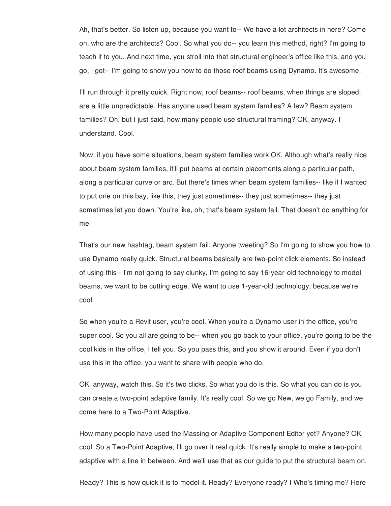Ah, that's better. So listen up, because you want to-- We have a lot architects in here? Come on, who are the architects? Cool. So what you do-- you learn this method, right? I'm going to teach it to you. And next time, you stroll into that structural engineer's office like this, and you go, I got-- I'm going to show you how to do those roof beams using Dynamo. It's awesome.

I'll run through it pretty quick. Right now, roof beams-- roof beams, when things are sloped, are a little unpredictable. Has anyone used beam system families? A few? Beam system families? Oh, but I just said, how many people use structural framing? OK, anyway. I understand. Cool.

Now, if you have some situations, beam system families work OK. Although what's really nice about beam system families, it'll put beams at certain placements along a particular path, along a particular curve or arc. But there's times when beam system families-- like if I wanted to put one on this bay, like this, they just sometimes-- they just sometimes-- they just sometimes let you down. You're like, oh, that's beam system fail. That doesn't do anything for me.

That's our new hashtag, beam system fail. Anyone tweeting? So I'm going to show you how to use Dynamo really quick. Structural beams basically are two-point click elements. So instead of using this-- I'm not going to say clunky, I'm going to say 16-year-old technology to model beams, we want to be cutting edge. We want to use 1-year-old technology, because we're cool.

So when you're a Revit user, you're cool. When you're a Dynamo user in the office, you're super cool. So you all are going to be-- when you go back to your office, you're going to be the cool kids in the office, I tell you. So you pass this, and you show it around. Even if you don't use this in the office, you want to share with people who do.

OK, anyway, watch this. So it's two clicks. So what you do is this. So what you can do is you can create a two-point adaptive family. It's really cool. So we go New, we go Family, and we come here to a Two-Point Adaptive.

How many people have used the Massing or Adaptive Component Editor yet? Anyone? OK, cool. So a Two-Point Adaptive, I'll go over it real quick. It's really simple to make a two-point adaptive with a line in between. And we'll use that as our guide to put the structural beam on.

Ready? This is how quick it is to model it. Ready? Everyone ready? I Who's timing me? Here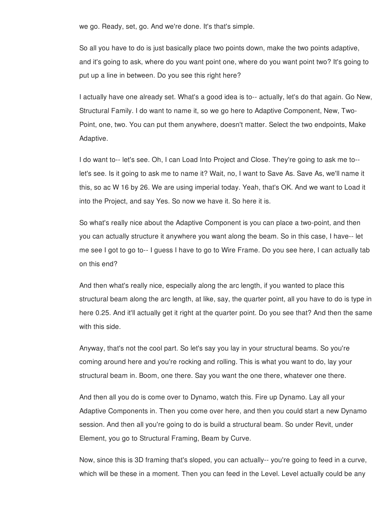we go. Ready, set, go. And we're done. It's that's simple.

So all you have to do is just basically place two points down, make the two points adaptive, and it's going to ask, where do you want point one, where do you want point two? It's going to put up a line in between. Do you see this right here?

I actually have one already set. What's a good idea is to-- actually, let's do that again. Go New, Structural Family. I do want to name it, so we go here to Adaptive Component, New, Two-Point, one, two. You can put them anywhere, doesn't matter. Select the two endpoints, Make Adaptive.

I do want to-- let's see. Oh, I can Load Into Project and Close. They're going to ask me to- let's see. Is it going to ask me to name it? Wait, no, I want to Save As. Save As, we'll name it this, so ac W 16 by 26. We are using imperial today. Yeah, that's OK. And we want to Load it into the Project, and say Yes. So now we have it. So here it is.

So what's really nice about the Adaptive Component is you can place a two-point, and then you can actually structure it anywhere you want along the beam. So in this case, I have-- let me see I got to go to-- I guess I have to go to Wire Frame. Do you see here, I can actually tab on this end?

And then what's really nice, especially along the arc length, if you wanted to place this structural beam along the arc length, at like, say, the quarter point, all you have to do is type in here 0.25. And it'll actually get it right at the quarter point. Do you see that? And then the same with this side.

Anyway, that's not the cool part. So let's say you lay in your structural beams. So you're coming around here and you're rocking and rolling. This is what you want to do, lay your structural beam in. Boom, one there. Say you want the one there, whatever one there.

And then all you do is come over to Dynamo, watch this. Fire up Dynamo. Lay all your Adaptive Components in. Then you come over here, and then you could start a new Dynamo session. And then all you're going to do is build a structural beam. So under Revit, under Element, you go to Structural Framing, Beam by Curve.

Now, since this is 3D framing that's sloped, you can actually-- you're going to feed in a curve, which will be these in a moment. Then you can feed in the Level. Level actually could be any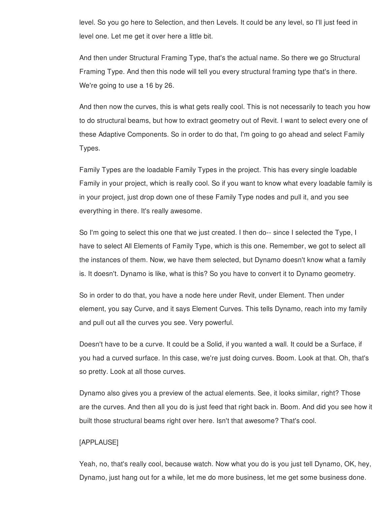level. So you go here to Selection, and then Levels. It could be any level, so I'll just feed in level one. Let me get it over here a little bit.

And then under Structural Framing Type, that's the actual name. So there we go Structural Framing Type. And then this node will tell you every structural framing type that's in there. We're going to use a 16 by 26.

And then now the curves, this is what gets really cool. This is not necessarily to teach you how to do structural beams, but how to extract geometry out of Revit. I want to select every one of these Adaptive Components. So in order to do that, I'm going to go ahead and select Family Types.

Family Types are the loadable Family Types in the project. This has every single loadable Family in your project, which is really cool. So if you want to know what every loadable family is in your project, just drop down one of these Family Type nodes and pull it, and you see everything in there. It's really awesome.

So I'm going to select this one that we just created. I then do-- since I selected the Type, I have to select All Elements of Family Type, which is this one. Remember, we got to select all the instances of them. Now, we have them selected, but Dynamo doesn't know what a family is. It doesn't. Dynamo is like, what is this? So you have to convert it to Dynamo geometry.

So in order to do that, you have a node here under Revit, under Element. Then under element, you say Curve, and it says Element Curves. This tells Dynamo, reach into my family and pull out all the curves you see. Very powerful.

Doesn't have to be a curve. It could be a Solid, if you wanted a wall. It could be a Surface, if you had a curved surface. In this case, we're just doing curves. Boom. Look at that. Oh, that's so pretty. Look at all those curves.

Dynamo also gives you a preview of the actual elements. See, it looks similar, right? Those are the curves. And then all you do is just feed that right back in. Boom. And did you see how it built those structural beams right over here. Isn't that awesome? That's cool.

## [APPLAUSE]

Yeah, no, that's really cool, because watch. Now what you do is you just tell Dynamo, OK, hey, Dynamo, just hang out for a while, let me do more business, let me get some business done.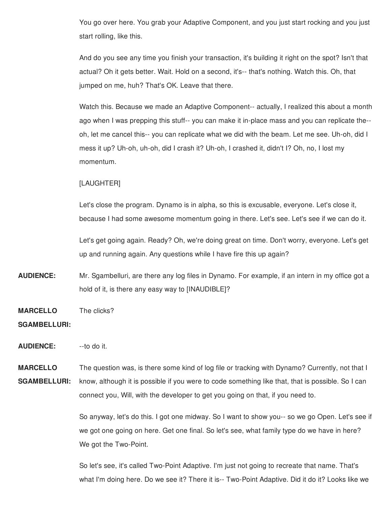You go over here. You grab your Adaptive Component, and you just start rocking and you just start rolling, like this.

And do you see any time you finish your transaction, it's building it right on the spot? Isn't that actual? Oh it gets better. Wait. Hold on a second, it's-- that's nothing. Watch this. Oh, that jumped on me, huh? That's OK. Leave that there.

Watch this. Because we made an Adaptive Component-- actually, I realized this about a month ago when I was prepping this stuff-- you can make it in-place mass and you can replicate the- oh, let me cancel this-- you can replicate what we did with the beam. Let me see. Uh-oh, did I mess it up? Uh-oh, uh-oh, did I crash it? Uh-oh, I crashed it, didn't I? Oh, no, I lost my momentum.

## [LAUGHTER]

Let's close the program. Dynamo is in alpha, so this is excusable, everyone. Let's close it, because I had some awesome momentum going in there. Let's see. Let's see if we can do it.

Let's get going again. Ready? Oh, we're doing great on time. Don't worry, everyone. Let's get up and running again. Any questions while I have fire this up again?

- **AUDIENCE:** Mr. Sgambelluri, are there any log files in Dynamo. For example, if an intern in my office got a hold of it, is there any easy way to [INAUDIBLE]?
- **MARCELLO** The clicks?

#### **SGAMBELLURI:**

**AUDIENCE:** --to do it.

**MARCELLO SGAMBELLURI:** The question was, is there some kind of log file or tracking with Dynamo? Currently, not that I know, although it is possible if you were to code something like that, that is possible. So I can connect you, Will, with the developer to get you going on that, if you need to.

> So anyway, let's do this. I got one midway. So I want to show you-- so we go Open. Let's see if we got one going on here. Get one final. So let's see, what family type do we have in here? We got the Two-Point.

So let's see, it's called Two-Point Adaptive. I'm just not going to recreate that name. That's what I'm doing here. Do we see it? There it is-- Two-Point Adaptive. Did it do it? Looks like we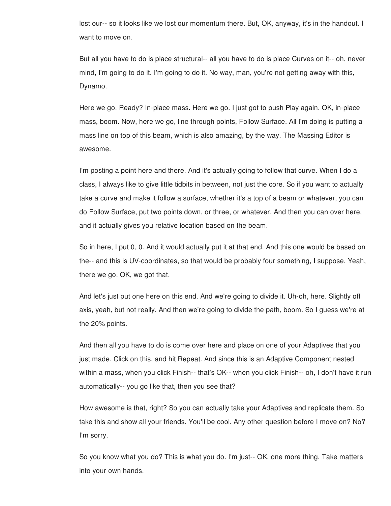lost our-- so it looks like we lost our momentum there. But, OK, anyway, it's in the handout. I want to move on.

But all you have to do is place structural-- all you have to do is place Curves on it-- oh, never mind, I'm going to do it. I'm going to do it. No way, man, you're not getting away with this, Dynamo.

Here we go. Ready? In-place mass. Here we go. I just got to push Play again. OK, in-place mass, boom. Now, here we go, line through points, Follow Surface. All I'm doing is putting a mass line on top of this beam, which is also amazing, by the way. The Massing Editor is awesome.

I'm posting a point here and there. And it's actually going to follow that curve. When I do a class, I always like to give little tidbits in between, not just the core. So if you want to actually take a curve and make it follow a surface, whether it's a top of a beam or whatever, you can do Follow Surface, put two points down, or three, or whatever. And then you can over here, and it actually gives you relative location based on the beam.

So in here, I put 0, 0. And it would actually put it at that end. And this one would be based on the-- and this is UV-coordinates, so that would be probably four something, I suppose, Yeah, there we go. OK, we got that.

And let's just put one here on this end. And we're going to divide it. Uh-oh, here. Slightly off axis, yeah, but not really. And then we're going to divide the path, boom. So I guess we're at the 20% points.

And then all you have to do is come over here and place on one of your Adaptives that you just made. Click on this, and hit Repeat. And since this is an Adaptive Component nested within a mass, when you click Finish-- that's OK-- when you click Finish-- oh, I don't have it run automatically-- you go like that, then you see that?

How awesome is that, right? So you can actually take your Adaptives and replicate them. So take this and show all your friends. You'll be cool. Any other question before I move on? No? I'm sorry.

So you know what you do? This is what you do. I'm just-- OK, one more thing. Take matters into your own hands.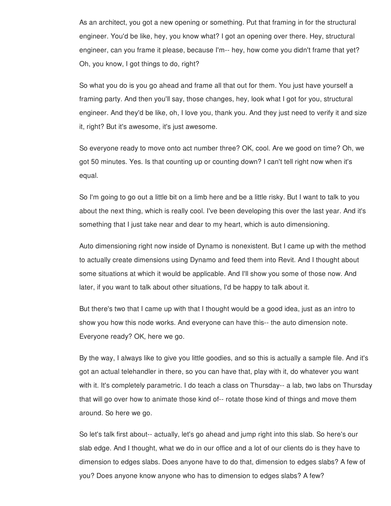As an architect, you got a new opening or something. Put that framing in for the structural engineer. You'd be like, hey, you know what? I got an opening over there. Hey, structural engineer, can you frame it please, because I'm-- hey, how come you didn't frame that yet? Oh, you know, I got things to do, right?

So what you do is you go ahead and frame all that out for them. You just have yourself a framing party. And then you'll say, those changes, hey, look what I got for you, structural engineer. And they'd be like, oh, I love you, thank you. And they just need to verify it and size it, right? But it's awesome, it's just awesome.

So everyone ready to move onto act number three? OK, cool. Are we good on time? Oh, we got 50 minutes. Yes. Is that counting up or counting down? I can't tell right now when it's equal.

So I'm going to go out a little bit on a limb here and be a little risky. But I want to talk to you about the next thing, which is really cool. I've been developing this over the last year. And it's something that I just take near and dear to my heart, which is auto dimensioning.

Auto dimensioning right now inside of Dynamo is nonexistent. But I came up with the method to actually create dimensions using Dynamo and feed them into Revit. And I thought about some situations at which it would be applicable. And I'll show you some of those now. And later, if you want to talk about other situations, I'd be happy to talk about it.

But there's two that I came up with that I thought would be a good idea, just as an intro to show you how this node works. And everyone can have this-- the auto dimension note. Everyone ready? OK, here we go.

By the way, I always like to give you little goodies, and so this is actually a sample file. And it's got an actual telehandler in there, so you can have that, play with it, do whatever you want with it. It's completely parametric. I do teach a class on Thursday-- a lab, two labs on Thursday that will go over how to animate those kind of-- rotate those kind of things and move them around. So here we go.

So let's talk first about-- actually, let's go ahead and jump right into this slab. So here's our slab edge. And I thought, what we do in our office and a lot of our clients do is they have to dimension to edges slabs. Does anyone have to do that, dimension to edges slabs? A few of you? Does anyone know anyone who has to dimension to edges slabs? A few?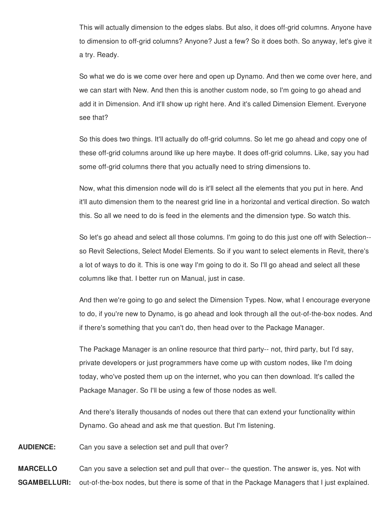This will actually dimension to the edges slabs. But also, it does off-grid columns. Anyone have to dimension to off-grid columns? Anyone? Just a few? So it does both. So anyway, let's give it a try. Ready.

So what we do is we come over here and open up Dynamo. And then we come over here, and we can start with New. And then this is another custom node, so I'm going to go ahead and add it in Dimension. And it'll show up right here. And it's called Dimension Element. Everyone see that?

So this does two things. It'll actually do off-grid columns. So let me go ahead and copy one of these off-grid columns around like up here maybe. It does off-grid columns. Like, say you had some off-grid columns there that you actually need to string dimensions to.

Now, what this dimension node will do is it'll select all the elements that you put in here. And it'll auto dimension them to the nearest grid line in a horizontal and vertical direction. So watch this. So all we need to do is feed in the elements and the dimension type. So watch this.

So let's go ahead and select all those columns. I'm going to do this just one off with Selection- so Revit Selections, Select Model Elements. So if you want to select elements in Revit, there's a lot of ways to do it. This is one way I'm going to do it. So I'll go ahead and select all these columns like that. I better run on Manual, just in case.

And then we're going to go and select the Dimension Types. Now, what I encourage everyone to do, if you're new to Dynamo, is go ahead and look through all the out-of-the-box nodes. And if there's something that you can't do, then head over to the Package Manager.

The Package Manager is an online resource that third party-- not, third party, but I'd say, private developers or just programmers have come up with custom nodes, like I'm doing today, who've posted them up on the internet, who you can then download. It's called the Package Manager. So I'll be using a few of those nodes as well.

And there's literally thousands of nodes out there that can extend your functionality within Dynamo. Go ahead and ask me that question. But I'm listening.

**AUDIENCE:** Can you save a selection set and pull that over?

**MARCELLO SGAMBELLURI:** Can you save a selection set and pull that over-- the question. The answer is, yes. Not with out-of-the-box nodes, but there is some of that in the Package Managers that I just explained.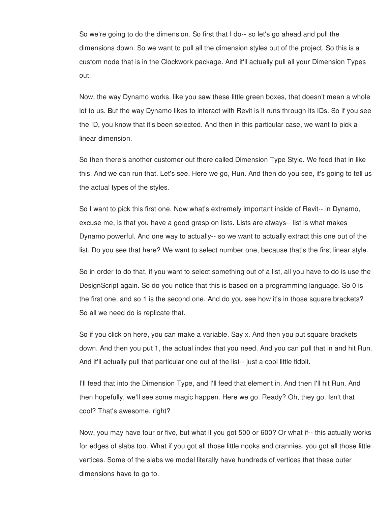So we're going to do the dimension. So first that I do-- so let's go ahead and pull the dimensions down. So we want to pull all the dimension styles out of the project. So this is a custom node that is in the Clockwork package. And it'll actually pull all your Dimension Types out.

Now, the way Dynamo works, like you saw these little green boxes, that doesn't mean a whole lot to us. But the way Dynamo likes to interact with Revit is it runs through its IDs. So if you see the ID, you know that it's been selected. And then in this particular case, we want to pick a linear dimension.

So then there's another customer out there called Dimension Type Style. We feed that in like this. And we can run that. Let's see. Here we go, Run. And then do you see, it's going to tell us the actual types of the styles.

So I want to pick this first one. Now what's extremely important inside of Revit-- in Dynamo, excuse me, is that you have a good grasp on lists. Lists are always-- list is what makes Dynamo powerful. And one way to actually-- so we want to actually extract this one out of the list. Do you see that here? We want to select number one, because that's the first linear style.

So in order to do that, if you want to select something out of a list, all you have to do is use the DesignScript again. So do you notice that this is based on a programming language. So 0 is the first one, and so 1 is the second one. And do you see how it's in those square brackets? So all we need do is replicate that.

So if you click on here, you can make a variable. Say x. And then you put square brackets down. And then you put 1, the actual index that you need. And you can pull that in and hit Run. And it'll actually pull that particular one out of the list-- just a cool little tidbit.

I'll feed that into the Dimension Type, and I'll feed that element in. And then I'll hit Run. And then hopefully, we'll see some magic happen. Here we go. Ready? Oh, they go. Isn't that cool? That's awesome, right?

Now, you may have four or five, but what if you got 500 or 600? Or what if-- this actually works for edges of slabs too. What if you got all those little nooks and crannies, you got all those little vertices. Some of the slabs we model literally have hundreds of vertices that these outer dimensions have to go to.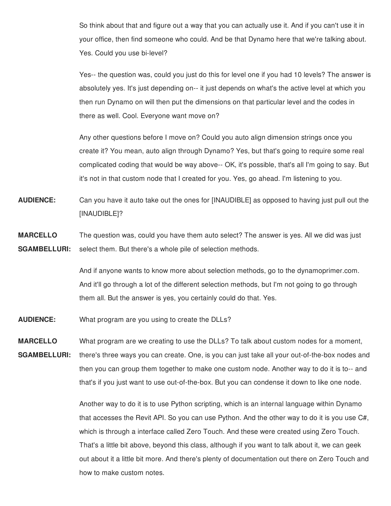So think about that and figure out a way that you can actually use it. And if you can't use it in your office, then find someone who could. And be that Dynamo here that we're talking about. Yes. Could you use bi-level?

Yes-- the question was, could you just do this for level one if you had 10 levels? The answer is absolutely yes. It's just depending on-- it just depends on what's the active level at which you then run Dynamo on will then put the dimensions on that particular level and the codes in there as well. Cool. Everyone want move on?

Any other questions before I move on? Could you auto align dimension strings once you create it? You mean, auto align through Dynamo? Yes, but that's going to require some real complicated coding that would be way above-- OK, it's possible, that's all I'm going to say. But it's not in that custom node that I created for you. Yes, go ahead. I'm listening to you.

- **AUDIENCE:** Can you have it auto take out the ones for [INAUDIBLE] as opposed to having just pull out the [INAUDIBLE]?
- **MARCELLO SGAMBELLURI:** The question was, could you have them auto select? The answer is yes. All we did was just select them. But there's a whole pile of selection methods.

And if anyone wants to know more about selection methods, go to the dynamoprimer.com. And it'll go through a lot of the different selection methods, but I'm not going to go through them all. But the answer is yes, you certainly could do that. Yes.

**AUDIENCE:** What program are you using to create the DLLs?

**MARCELLO** What program are we creating to use the DLLs? To talk about custom nodes for a moment,

**SGAMBELLURI:** there's three ways you can create. One, is you can just take all your out-of-the-box nodes and then you can group them together to make one custom node. Another way to do it is to-- and that's if you just want to use out-of-the-box. But you can condense it down to like one node.

> Another way to do it is to use Python scripting, which is an internal language within Dynamo that accesses the Revit API. So you can use Python. And the other way to do it is you use C#, which is through a interface called Zero Touch. And these were created using Zero Touch. That's a little bit above, beyond this class, although if you want to talk about it, we can geek out about it a little bit more. And there's plenty of documentation out there on Zero Touch and how to make custom notes.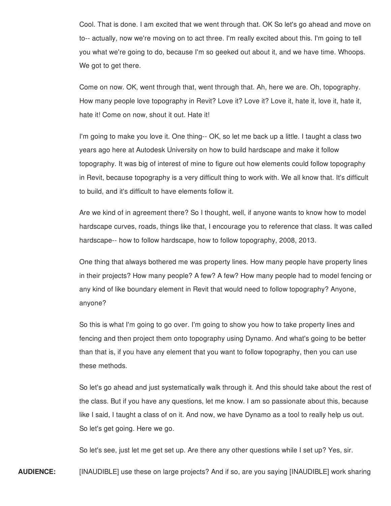Cool. That is done. I am excited that we went through that. OK So let's go ahead and move on to-- actually, now we're moving on to act three. I'm really excited about this. I'm going to tell you what we're going to do, because I'm so geeked out about it, and we have time. Whoops. We got to get there.

Come on now. OK, went through that, went through that. Ah, here we are. Oh, topography. How many people love topography in Revit? Love it? Love it? Love it, hate it, love it, hate it, hate it! Come on now, shout it out. Hate it!

I'm going to make you love it. One thing-- OK, so let me back up a little. I taught a class two years ago here at Autodesk University on how to build hardscape and make it follow topography. It was big of interest of mine to figure out how elements could follow topography in Revit, because topography is a very difficult thing to work with. We all know that. It's difficult to build, and it's difficult to have elements follow it.

Are we kind of in agreement there? So I thought, well, if anyone wants to know how to model hardscape curves, roads, things like that, I encourage you to reference that class. It was called hardscape-- how to follow hardscape, how to follow topography, 2008, 2013.

One thing that always bothered me was property lines. How many people have property lines in their projects? How many people? A few? A few? How many people had to model fencing or any kind of like boundary element in Revit that would need to follow topography? Anyone, anyone?

So this is what I'm going to go over. I'm going to show you how to take property lines and fencing and then project them onto topography using Dynamo. And what's going to be better than that is, if you have any element that you want to follow topography, then you can use these methods.

So let's go ahead and just systematically walk through it. And this should take about the rest of the class. But if you have any questions, let me know. I am so passionate about this, because like I said, I taught a class of on it. And now, we have Dynamo as a tool to really help us out. So let's get going. Here we go.

So let's see, just let me get set up. Are there any other questions while I set up? Yes, sir.

**AUDIENCE:** [INAUDIBLE] use these on large projects? And if so, are you saying [INAUDIBLE] work sharing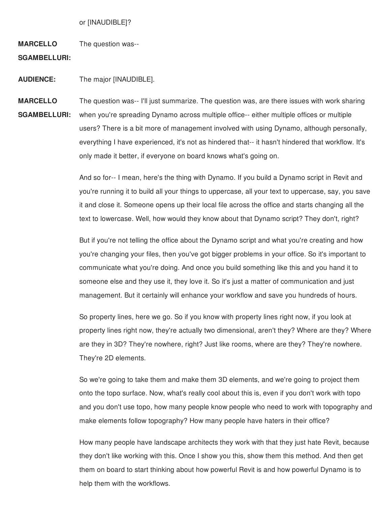or [INAUDIBLE]?

**MARCELLO** The question was--

**SGAMBELLURI:**

**AUDIENCE:** The major [INAUDIBLE].

**MARCELLO SGAMBELLURI:** The question was-- I'll just summarize. The question was, are there issues with work sharing when you're spreading Dynamo across multiple office-- either multiple offices or multiple users? There is a bit more of management involved with using Dynamo, although personally, everything I have experienced, it's not as hindered that-- it hasn't hindered that workflow. It's only made it better, if everyone on board knows what's going on.

> And so for-- I mean, here's the thing with Dynamo. If you build a Dynamo script in Revit and you're running it to build all your things to uppercase, all your text to uppercase, say, you save it and close it. Someone opens up their local file across the office and starts changing all the text to lowercase. Well, how would they know about that Dynamo script? They don't, right?

But if you're not telling the office about the Dynamo script and what you're creating and how you're changing your files, then you've got bigger problems in your office. So it's important to communicate what you're doing. And once you build something like this and you hand it to someone else and they use it, they love it. So it's just a matter of communication and just management. But it certainly will enhance your workflow and save you hundreds of hours.

So property lines, here we go. So if you know with property lines right now, if you look at property lines right now, they're actually two dimensional, aren't they? Where are they? Where are they in 3D? They're nowhere, right? Just like rooms, where are they? They're nowhere. They're 2D elements.

So we're going to take them and make them 3D elements, and we're going to project them onto the topo surface. Now, what's really cool about this is, even if you don't work with topo and you don't use topo, how many people know people who need to work with topography and make elements follow topography? How many people have haters in their office?

How many people have landscape architects they work with that they just hate Revit, because they don't like working with this. Once I show you this, show them this method. And then get them on board to start thinking about how powerful Revit is and how powerful Dynamo is to help them with the workflows.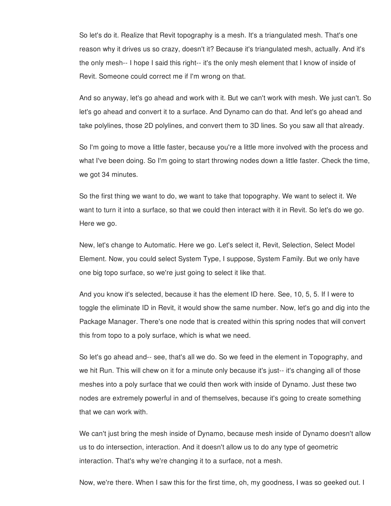So let's do it. Realize that Revit topography is a mesh. It's a triangulated mesh. That's one reason why it drives us so crazy, doesn't it? Because it's triangulated mesh, actually. And it's the only mesh-- I hope I said this right-- it's the only mesh element that I know of inside of Revit. Someone could correct me if I'm wrong on that.

And so anyway, let's go ahead and work with it. But we can't work with mesh. We just can't. So let's go ahead and convert it to a surface. And Dynamo can do that. And let's go ahead and take polylines, those 2D polylines, and convert them to 3D lines. So you saw all that already.

So I'm going to move a little faster, because you're a little more involved with the process and what I've been doing. So I'm going to start throwing nodes down a little faster. Check the time, we got 34 minutes.

So the first thing we want to do, we want to take that topography. We want to select it. We want to turn it into a surface, so that we could then interact with it in Revit. So let's do we go. Here we go.

New, let's change to Automatic. Here we go. Let's select it, Revit, Selection, Select Model Element. Now, you could select System Type, I suppose, System Family. But we only have one big topo surface, so we're just going to select it like that.

And you know it's selected, because it has the element ID here. See, 10, 5, 5. If I were to toggle the eliminate ID in Revit, it would show the same number. Now, let's go and dig into the Package Manager. There's one node that is created within this spring nodes that will convert this from topo to a poly surface, which is what we need.

So let's go ahead and-- see, that's all we do. So we feed in the element in Topography, and we hit Run. This will chew on it for a minute only because it's just-- it's changing all of those meshes into a poly surface that we could then work with inside of Dynamo. Just these two nodes are extremely powerful in and of themselves, because it's going to create something that we can work with.

We can't just bring the mesh inside of Dynamo, because mesh inside of Dynamo doesn't allow us to do intersection, interaction. And it doesn't allow us to do any type of geometric interaction. That's why we're changing it to a surface, not a mesh.

Now, we're there. When I saw this for the first time, oh, my goodness, I was so geeked out. I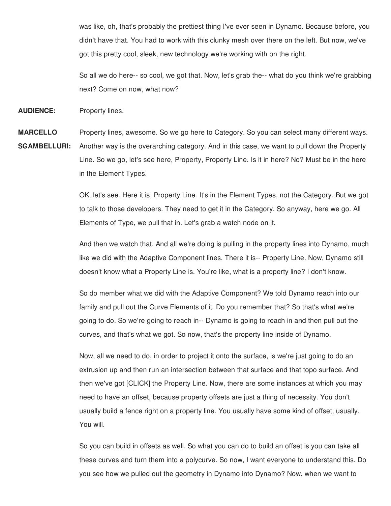was like, oh, that's probably the prettiest thing I've ever seen in Dynamo. Because before, you didn't have that. You had to work with this clunky mesh over there on the left. But now, we've got this pretty cool, sleek, new technology we're working with on the right.

So all we do here-- so cool, we got that. Now, let's grab the-- what do you think we're grabbing next? Come on now, what now?

**AUDIENCE:** Property lines.

in the Element Types.

**MARCELLO SGAMBELLURI:** Property lines, awesome. So we go here to Category. So you can select many different ways. Another way is the overarching category. And in this case, we want to pull down the Property Line. So we go, let's see here, Property, Property Line. Is it in here? No? Must be in the here

> OK, let's see. Here it is, Property Line. It's in the Element Types, not the Category. But we got to talk to those developers. They need to get it in the Category. So anyway, here we go. All Elements of Type, we pull that in. Let's grab a watch node on it.

> And then we watch that. And all we're doing is pulling in the property lines into Dynamo, much like we did with the Adaptive Component lines. There it is-- Property Line. Now, Dynamo still doesn't know what a Property Line is. You're like, what is a property line? I don't know.

So do member what we did with the Adaptive Component? We told Dynamo reach into our family and pull out the Curve Elements of it. Do you remember that? So that's what we're going to do. So we're going to reach in-- Dynamo is going to reach in and then pull out the curves, and that's what we got. So now, that's the property line inside of Dynamo.

Now, all we need to do, in order to project it onto the surface, is we're just going to do an extrusion up and then run an intersection between that surface and that topo surface. And then we've got [CLICK] the Property Line. Now, there are some instances at which you may need to have an offset, because property offsets are just a thing of necessity. You don't usually build a fence right on a property line. You usually have some kind of offset, usually. You will.

So you can build in offsets as well. So what you can do to build an offset is you can take all these curves and turn them into a polycurve. So now, I want everyone to understand this. Do you see how we pulled out the geometry in Dynamo into Dynamo? Now, when we want to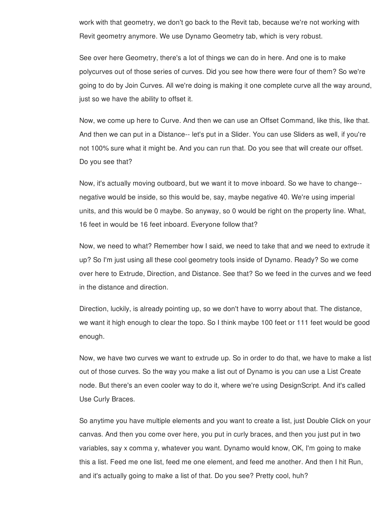work with that geometry, we don't go back to the Revit tab, because we're not working with Revit geometry anymore. We use Dynamo Geometry tab, which is very robust.

See over here Geometry, there's a lot of things we can do in here. And one is to make polycurves out of those series of curves. Did you see how there were four of them? So we're going to do by Join Curves. All we're doing is making it one complete curve all the way around, just so we have the ability to offset it.

Now, we come up here to Curve. And then we can use an Offset Command, like this, like that. And then we can put in a Distance-- let's put in a Slider. You can use Sliders as well, if you're not 100% sure what it might be. And you can run that. Do you see that will create our offset. Do you see that?

Now, it's actually moving outboard, but we want it to move inboard. So we have to change- negative would be inside, so this would be, say, maybe negative 40. We're using imperial units, and this would be 0 maybe. So anyway, so 0 would be right on the property line. What, 16 feet in would be 16 feet inboard. Everyone follow that?

Now, we need to what? Remember how I said, we need to take that and we need to extrude it up? So I'm just using all these cool geometry tools inside of Dynamo. Ready? So we come over here to Extrude, Direction, and Distance. See that? So we feed in the curves and we feed in the distance and direction.

Direction, luckily, is already pointing up, so we don't have to worry about that. The distance, we want it high enough to clear the topo. So I think maybe 100 feet or 111 feet would be good enough.

Now, we have two curves we want to extrude up. So in order to do that, we have to make a list out of those curves. So the way you make a list out of Dynamo is you can use a List Create node. But there's an even cooler way to do it, where we're using DesignScript. And it's called Use Curly Braces.

So anytime you have multiple elements and you want to create a list, just Double Click on your canvas. And then you come over here, you put in curly braces, and then you just put in two variables, say x comma y, whatever you want. Dynamo would know, OK, I'm going to make this a list. Feed me one list, feed me one element, and feed me another. And then I hit Run, and it's actually going to make a list of that. Do you see? Pretty cool, huh?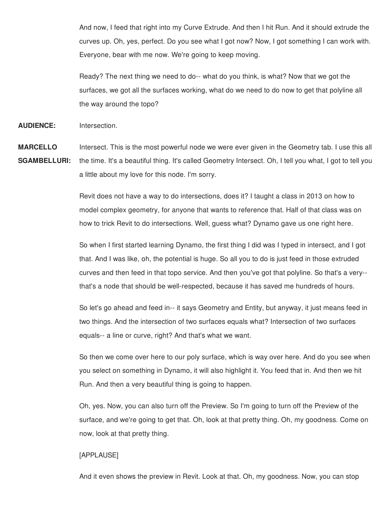And now, I feed that right into my Curve Extrude. And then I hit Run. And it should extrude the curves up. Oh, yes, perfect. Do you see what I got now? Now, I got something I can work with. Everyone, bear with me now. We're going to keep moving.

Ready? The next thing we need to do-- what do you think, is what? Now that we got the surfaces, we got all the surfaces working, what do we need to do now to get that polyline all the way around the topo?

**AUDIENCE:** Intersection.

**MARCELLO** Intersect. This is the most powerful node we were ever given in the Geometry tab. I use this all

**SGAMBELLURI:** the time. It's a beautiful thing. It's called Geometry Intersect. Oh, I tell you what, I got to tell you a little about my love for this node. I'm sorry.

> Revit does not have a way to do intersections, does it? I taught a class in 2013 on how to model complex geometry, for anyone that wants to reference that. Half of that class was on how to trick Revit to do intersections. Well, guess what? Dynamo gave us one right here.

So when I first started learning Dynamo, the first thing I did was I typed in intersect, and I got that. And I was like, oh, the potential is huge. So all you to do is just feed in those extruded curves and then feed in that topo service. And then you've got that polyline. So that's a very- that's a node that should be well-respected, because it has saved me hundreds of hours.

So let's go ahead and feed in-- it says Geometry and Entity, but anyway, it just means feed in two things. And the intersection of two surfaces equals what? Intersection of two surfaces equals-- a line or curve, right? And that's what we want.

So then we come over here to our poly surface, which is way over here. And do you see when you select on something in Dynamo, it will also highlight it. You feed that in. And then we hit Run. And then a very beautiful thing is going to happen.

Oh, yes. Now, you can also turn off the Preview. So I'm going to turn off the Preview of the surface, and we're going to get that. Oh, look at that pretty thing. Oh, my goodness. Come on now, look at that pretty thing.

### [APPLAUSE]

And it even shows the preview in Revit. Look at that. Oh, my goodness. Now, you can stop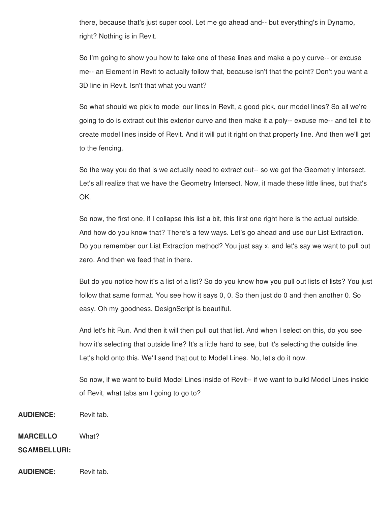there, because that's just super cool. Let me go ahead and-- but everything's in Dynamo, right? Nothing is in Revit.

So I'm going to show you how to take one of these lines and make a poly curve-- or excuse me-- an Element in Revit to actually follow that, because isn't that the point? Don't you want a 3D line in Revit. Isn't that what you want?

So what should we pick to model our lines in Revit, a good pick, our model lines? So all we're going to do is extract out this exterior curve and then make it a poly-- excuse me-- and tell it to create model lines inside of Revit. And it will put it right on that property line. And then we'll get to the fencing.

So the way you do that is we actually need to extract out-- so we got the Geometry Intersect. Let's all realize that we have the Geometry Intersect. Now, it made these little lines, but that's OK.

So now, the first one, if I collapse this list a bit, this first one right here is the actual outside. And how do you know that? There's a few ways. Let's go ahead and use our List Extraction. Do you remember our List Extraction method? You just say x, and let's say we want to pull out zero. And then we feed that in there.

But do you notice how it's a list of a list? So do you know how you pull out lists of lists? You just follow that same format. You see how it says 0, 0. So then just do 0 and then another 0. So easy. Oh my goodness, DesignScript is beautiful.

And let's hit Run. And then it will then pull out that list. And when I select on this, do you see how it's selecting that outside line? It's a little hard to see, but it's selecting the outside line. Let's hold onto this. We'll send that out to Model Lines. No, let's do it now.

So now, if we want to build Model Lines inside of Revit-- if we want to build Model Lines inside of Revit, what tabs am I going to go to?

**AUDIENCE:** Revit tab.

**MARCELLO** What?

**SGAMBELLURI:**

**AUDIENCE:** Revit tab.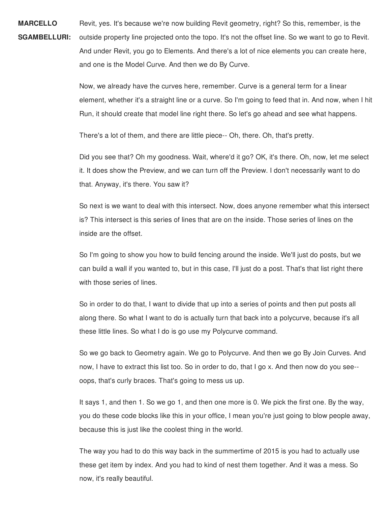**MARCELLO SGAMBELLURI:** Revit, yes. It's because we're now building Revit geometry, right? So this, remember, is the outside property line projected onto the topo. It's not the offset line. So we want to go to Revit. And under Revit, you go to Elements. And there's a lot of nice elements you can create here, and one is the Model Curve. And then we do By Curve.

> Now, we already have the curves here, remember. Curve is a general term for a linear element, whether it's a straight line or a curve. So I'm going to feed that in. And now, when I hit Run, it should create that model line right there. So let's go ahead and see what happens.

There's a lot of them, and there are little piece-- Oh, there. Oh, that's pretty.

Did you see that? Oh my goodness. Wait, where'd it go? OK, it's there. Oh, now, let me select it. It does show the Preview, and we can turn off the Preview. I don't necessarily want to do that. Anyway, it's there. You saw it?

So next is we want to deal with this intersect. Now, does anyone remember what this intersect is? This intersect is this series of lines that are on the inside. Those series of lines on the inside are the offset.

So I'm going to show you how to build fencing around the inside. We'll just do posts, but we can build a wall if you wanted to, but in this case, I'll just do a post. That's that list right there with those series of lines.

So in order to do that, I want to divide that up into a series of points and then put posts all along there. So what I want to do is actually turn that back into a polycurve, because it's all these little lines. So what I do is go use my Polycurve command.

So we go back to Geometry again. We go to Polycurve. And then we go By Join Curves. And now, I have to extract this list too. So in order to do, that I go x. And then now do you see- oops, that's curly braces. That's going to mess us up.

It says 1, and then 1. So we go 1, and then one more is 0. We pick the first one. By the way, you do these code blocks like this in your office, I mean you're just going to blow people away, because this is just like the coolest thing in the world.

The way you had to do this way back in the summertime of 2015 is you had to actually use these get item by index. And you had to kind of nest them together. And it was a mess. So now, it's really beautiful.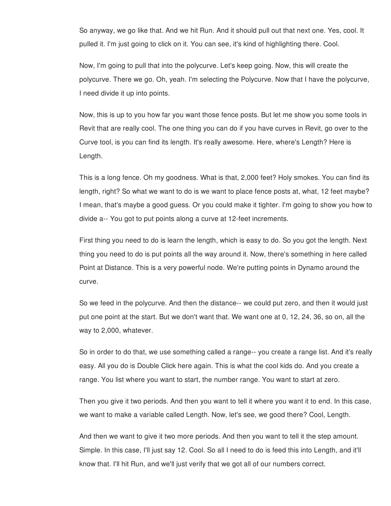So anyway, we go like that. And we hit Run. And it should pull out that next one. Yes, cool. It pulled it. I'm just going to click on it. You can see, it's kind of highlighting there. Cool.

Now, I'm going to pull that into the polycurve. Let's keep going. Now, this will create the polycurve. There we go. Oh, yeah. I'm selecting the Polycurve. Now that I have the polycurve, I need divide it up into points.

Now, this is up to you how far you want those fence posts. But let me show you some tools in Revit that are really cool. The one thing you can do if you have curves in Revit, go over to the Curve tool, is you can find its length. It's really awesome. Here, where's Length? Here is Length.

This is a long fence. Oh my goodness. What is that, 2,000 feet? Holy smokes. You can find its length, right? So what we want to do is we want to place fence posts at, what, 12 feet maybe? I mean, that's maybe a good guess. Or you could make it tighter. I'm going to show you how to divide a-- You got to put points along a curve at 12-feet increments.

First thing you need to do is learn the length, which is easy to do. So you got the length. Next thing you need to do is put points all the way around it. Now, there's something in here called Point at Distance. This is a very powerful node. We're putting points in Dynamo around the curve.

So we feed in the polycurve. And then the distance-- we could put zero, and then it would just put one point at the start. But we don't want that. We want one at 0, 12, 24, 36, so on, all the way to 2,000, whatever.

So in order to do that, we use something called a range-- you create a range list. And it's really easy. All you do is Double Click here again. This is what the cool kids do. And you create a range. You list where you want to start, the number range. You want to start at zero.

Then you give it two periods. And then you want to tell it where you want it to end. In this case, we want to make a variable called Length. Now, let's see, we good there? Cool, Length.

And then we want to give it two more periods. And then you want to tell it the step amount. Simple. In this case, I'll just say 12. Cool. So all I need to do is feed this into Length, and it'll know that. I'll hit Run, and we'll just verify that we got all of our numbers correct.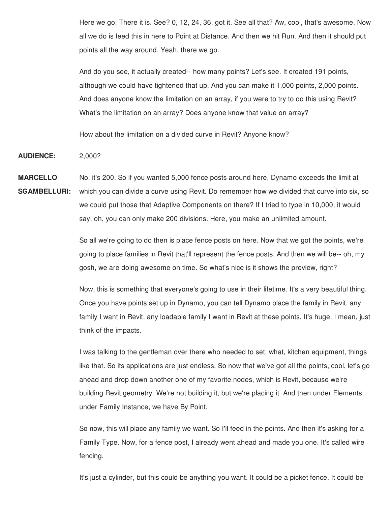Here we go. There it is. See? 0, 12, 24, 36, got it. See all that? Aw, cool, that's awesome. Now all we do is feed this in here to Point at Distance. And then we hit Run. And then it should put points all the way around. Yeah, there we go.

And do you see, it actually created-- how many points? Let's see. It created 191 points, although we could have tightened that up. And you can make it 1,000 points, 2,000 points. And does anyone know the limitation on an array, if you were to try to do this using Revit? What's the limitation on an array? Does anyone know that value on array?

How about the limitation on a divided curve in Revit? Anyone know?

**AUDIENCE:** 2,000?

**MARCELLO** No, it's 200. So if you wanted 5,000 fence posts around here, Dynamo exceeds the limit at

**SGAMBELLURI:** which you can divide a curve using Revit. Do remember how we divided that curve into six, so we could put those that Adaptive Components on there? If I tried to type in 10,000, it would say, oh, you can only make 200 divisions. Here, you make an unlimited amount.

> So all we're going to do then is place fence posts on here. Now that we got the points, we're going to place families in Revit that'll represent the fence posts. And then we will be-- oh, my gosh, we are doing awesome on time. So what's nice is it shows the preview, right?

Now, this is something that everyone's going to use in their lifetime. It's a very beautiful thing. Once you have points set up in Dynamo, you can tell Dynamo place the family in Revit, any family I want in Revit, any loadable family I want in Revit at these points. It's huge. I mean, just think of the impacts.

I was talking to the gentleman over there who needed to set, what, kitchen equipment, things like that. So its applications are just endless. So now that we've got all the points, cool, let's go ahead and drop down another one of my favorite nodes, which is Revit, because we're building Revit geometry. We're not building it, but we're placing it. And then under Elements, under Family Instance, we have By Point.

So now, this will place any family we want. So I'll feed in the points. And then it's asking for a Family Type. Now, for a fence post, I already went ahead and made you one. It's called wire fencing.

It's just a cylinder, but this could be anything you want. It could be a picket fence. It could be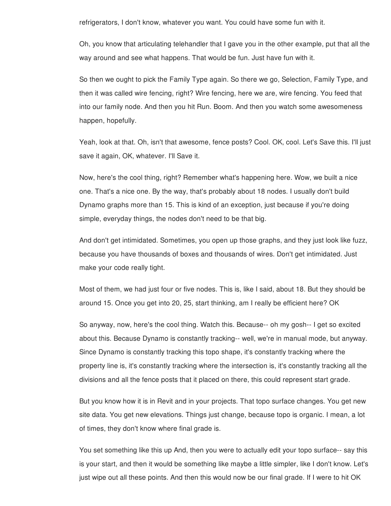refrigerators, I don't know, whatever you want. You could have some fun with it.

Oh, you know that articulating telehandler that I gave you in the other example, put that all the way around and see what happens. That would be fun. Just have fun with it.

So then we ought to pick the Family Type again. So there we go, Selection, Family Type, and then it was called wire fencing, right? Wire fencing, here we are, wire fencing. You feed that into our family node. And then you hit Run. Boom. And then you watch some awesomeness happen, hopefully.

Yeah, look at that. Oh, isn't that awesome, fence posts? Cool. OK, cool. Let's Save this. I'll just save it again, OK, whatever. I'll Save it.

Now, here's the cool thing, right? Remember what's happening here. Wow, we built a nice one. That's a nice one. By the way, that's probably about 18 nodes. I usually don't build Dynamo graphs more than 15. This is kind of an exception, just because if you're doing simple, everyday things, the nodes don't need to be that big.

And don't get intimidated. Sometimes, you open up those graphs, and they just look like fuzz, because you have thousands of boxes and thousands of wires. Don't get intimidated. Just make your code really tight.

Most of them, we had just four or five nodes. This is, like I said, about 18. But they should be around 15. Once you get into 20, 25, start thinking, am I really be efficient here? OK

So anyway, now, here's the cool thing. Watch this. Because-- oh my gosh-- I get so excited about this. Because Dynamo is constantly tracking-- well, we're in manual mode, but anyway. Since Dynamo is constantly tracking this topo shape, it's constantly tracking where the property line is, it's constantly tracking where the intersection is, it's constantly tracking all the divisions and all the fence posts that it placed on there, this could represent start grade.

But you know how it is in Revit and in your projects. That topo surface changes. You get new site data. You get new elevations. Things just change, because topo is organic. I mean, a lot of times, they don't know where final grade is.

You set something like this up And, then you were to actually edit your topo surface-- say this is your start, and then it would be something like maybe a little simpler, like I don't know. Let's just wipe out all these points. And then this would now be our final grade. If I were to hit OK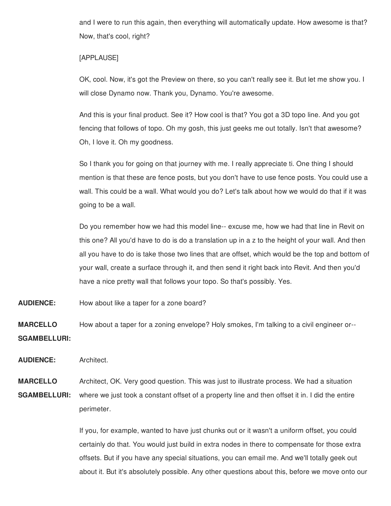and I were to run this again, then everything will automatically update. How awesome is that? Now, that's cool, right?

## [APPLAUSE]

OK, cool. Now, it's got the Preview on there, so you can't really see it. But let me show you. I will close Dynamo now. Thank you, Dynamo. You're awesome.

And this is your final product. See it? How cool is that? You got a 3D topo line. And you got fencing that follows of topo. Oh my gosh, this just geeks me out totally. Isn't that awesome? Oh, I love it. Oh my goodness.

So I thank you for going on that journey with me. I really appreciate ti. One thing I should mention is that these are fence posts, but you don't have to use fence posts. You could use a wall. This could be a wall. What would you do? Let's talk about how we would do that if it was going to be a wall.

Do you remember how we had this model line-- excuse me, how we had that line in Revit on this one? All you'd have to do is do a translation up in a z to the height of your wall. And then all you have to do is take those two lines that are offset, which would be the top and bottom of your wall, create a surface through it, and then send it right back into Revit. And then you'd have a nice pretty wall that follows your topo. So that's possibly. Yes.

**AUDIENCE:** How about like a taper for a zone board?

**MARCELLO SGAMBELLURI:** How about a taper for a zoning envelope? Holy smokes, I'm talking to a civil engineer or--

**AUDIENCE:** Architect.

**MARCELLO SGAMBELLURI:** Architect, OK. Very good question. This was just to illustrate process. We had a situation where we just took a constant offset of a property line and then offset it in. I did the entire perimeter.

> If you, for example, wanted to have just chunks out or it wasn't a uniform offset, you could certainly do that. You would just build in extra nodes in there to compensate for those extra offsets. But if you have any special situations, you can email me. And we'll totally geek out about it. But it's absolutely possible. Any other questions about this, before we move onto our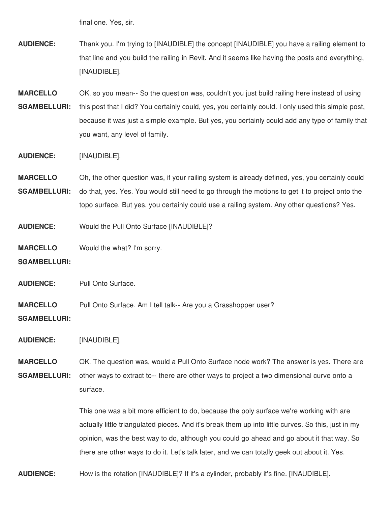final one. Yes, sir.

**AUDIENCE:** Thank you. I'm trying to [INAUDIBLE] the concept [INAUDIBLE] you have a railing element to that line and you build the railing in Revit. And it seems like having the posts and everything, [INAUDIBLE].

**MARCELLO SGAMBELLURI:** OK, so you mean-- So the question was, couldn't you just build railing here instead of using this post that I did? You certainly could, yes, you certainly could. I only used this simple post, because it was just a simple example. But yes, you certainly could add any type of family that you want, any level of family.

**AUDIENCE:** [INAUDIBLE].

**MARCELLO** Oh, the other question was, if your railing system is already defined, yes, you certainly could

**SGAMBELLURI:** do that, yes. Yes. You would still need to go through the motions to get it to project onto the topo surface. But yes, you certainly could use a railing system. Any other questions? Yes.

**AUDIENCE:** Would the Pull Onto Surface [INAUDIBLE]?

**MARCELLO** Would the what? I'm sorry.

**SGAMBELLURI:**

**AUDIENCE:** Pull Onto Surface.

**MARCELLO** Pull Onto Surface. Am I tell talk-- Are you a Grasshopper user?

**SGAMBELLURI:**

**AUDIENCE:** [INAUDIBLE].

**MARCELLO SGAMBELLURI:** OK. The question was, would a Pull Onto Surface node work? The answer is yes. There are other ways to extract to-- there are other ways to project a two dimensional curve onto a surface.

> This one was a bit more efficient to do, because the poly surface we're working with are actually little triangulated pieces. And it's break them up into little curves. So this, just in my opinion, was the best way to do, although you could go ahead and go about it that way. So there are other ways to do it. Let's talk later, and we can totally geek out about it. Yes.

**AUDIENCE:** How is the rotation [INAUDIBLE]? If it's a cylinder, probably it's fine. [INAUDIBLE].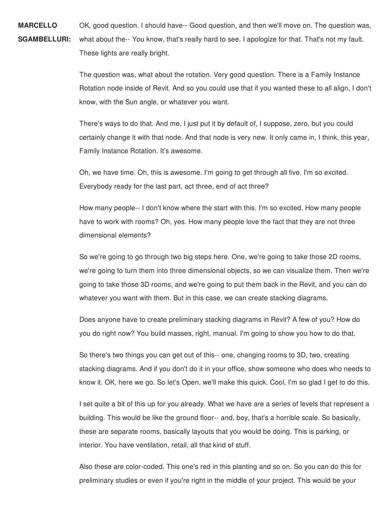**MARCELLO SGAMBELLURI:** OK, good question. I should have-- Good question, and then we'll move on. The question was, what about the-- You know, that's really hard to see. I apologize for that. That's not my fault. These lights are really bright.

> The question was, what about the rotation. Very good question. There is a Family Instance Rotation node inside of Revit. And so you could use that if you wanted these to all align, I don't know, with the Sun angle, or whatever you want.

> There's ways to do that. And me, I just put it by default of, I suppose, zero, but you could certainly change it with that node. And that node is very new. It only came in, I think, this year, Family Instance Rotation. It's awesome.

Oh, we have time. Oh, this is awesome. I'm going to get through all five. I'm so excited. Everybody ready for the last part, act three, end of act three?

How many people-- I don't know where the start with this. I'm so excited. How many people have to work with rooms? Oh, yes. How many people love the fact that they are not three dimensional elements?

So we're going to go through two big steps here. One, we're going to take those 2D rooms, we're going to turn them into three dimensional objects, so we can visualize them. Then we're going to take those 3D rooms, and we're going to put them back in the Revit, and you can do whatever you want with them. But in this case, we can create stacking diagrams.

Does anyone have to create preliminary stacking diagrams in Revit? A few of you? How do you do right now? You build masses, right, manual. I'm going to show you how to do that.

So there's two things you can get out of this-- one, changing rooms to 3D, two, creating stacking diagrams. And if you don't do it in your office, show someone who does who needs to know it. OK, here we go. So let's Open, we'll make this quick. Cool, I'm so glad I get to do this.

I set quite a bit of this up for you already. What we have are a series of levels that represent a building. This would be like the ground floor-- and, boy, that's a horrible scale. So basically, these are separate rooms, basically layouts that you would be doing. This is parking, or interior. You have ventilation, retail, all that kind of stuff.

Also these are color-coded. This one's red in this planting and so on. So you can do this for preliminary studies or even if you're right in the middle of your project. This would be your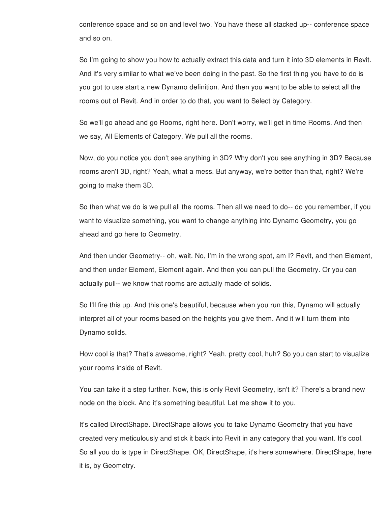conference space and so on and level two. You have these all stacked up-- conference space and so on.

So I'm going to show you how to actually extract this data and turn it into 3D elements in Revit. And it's very similar to what we've been doing in the past. So the first thing you have to do is you got to use start a new Dynamo definition. And then you want to be able to select all the rooms out of Revit. And in order to do that, you want to Select by Category.

So we'll go ahead and go Rooms, right here. Don't worry, we'll get in time Rooms. And then we say, All Elements of Category. We pull all the rooms.

Now, do you notice you don't see anything in 3D? Why don't you see anything in 3D? Because rooms aren't 3D, right? Yeah, what a mess. But anyway, we're better than that, right? We're going to make them 3D.

So then what we do is we pull all the rooms. Then all we need to do-- do you remember, if you want to visualize something, you want to change anything into Dynamo Geometry, you go ahead and go here to Geometry.

And then under Geometry-- oh, wait. No, I'm in the wrong spot, am I? Revit, and then Element, and then under Element, Element again. And then you can pull the Geometry. Or you can actually pull-- we know that rooms are actually made of solids.

So I'll fire this up. And this one's beautiful, because when you run this, Dynamo will actually interpret all of your rooms based on the heights you give them. And it will turn them into Dynamo solids.

How cool is that? That's awesome, right? Yeah, pretty cool, huh? So you can start to visualize your rooms inside of Revit.

You can take it a step further. Now, this is only Revit Geometry, isn't it? There's a brand new node on the block. And it's something beautiful. Let me show it to you.

It's called DirectShape. DirectShape allows you to take Dynamo Geometry that you have created very meticulously and stick it back into Revit in any category that you want. It's cool. So all you do is type in DirectShape. OK, DirectShape, it's here somewhere. DirectShape, here it is, by Geometry.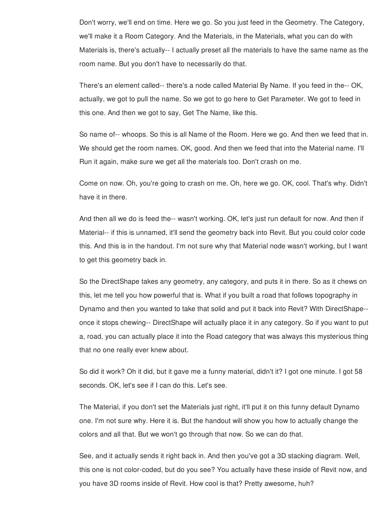Don't worry, we'll end on time. Here we go. So you just feed in the Geometry. The Category, we'll make it a Room Category. And the Materials, in the Materials, what you can do with Materials is, there's actually-- I actually preset all the materials to have the same name as the room name. But you don't have to necessarily do that.

There's an element called-- there's a node called Material By Name. If you feed in the-- OK, actually, we got to pull the name. So we got to go here to Get Parameter. We got to feed in this one. And then we got to say, Get The Name, like this.

So name of-- whoops. So this is all Name of the Room. Here we go. And then we feed that in. We should get the room names. OK, good. And then we feed that into the Material name. I'll Run it again, make sure we get all the materials too. Don't crash on me.

Come on now. Oh, you're going to crash on me. Oh, here we go. OK, cool. That's why. Didn't have it in there.

And then all we do is feed the-- wasn't working. OK, let's just run default for now. And then if Material-- if this is unnamed, it'll send the geometry back into Revit. But you could color code this. And this is in the handout. I'm not sure why that Material node wasn't working, but I want to get this geometry back in.

So the DirectShape takes any geometry, any category, and puts it in there. So as it chews on this, let me tell you how powerful that is. What if you built a road that follows topography in Dynamo and then you wanted to take that solid and put it back into Revit? With DirectShape- once it stops chewing-- DirectShape will actually place it in any category. So if you want to put a, road, you can actually place it into the Road category that was always this mysterious thing that no one really ever knew about.

So did it work? Oh it did, but it gave me a funny material, didn't it? I got one minute. I got 58 seconds. OK, let's see if I can do this. Let's see.

The Material, if you don't set the Materials just right, it'll put it on this funny default Dynamo one. I'm not sure why. Here it is. But the handout will show you how to actually change the colors and all that. But we won't go through that now. So we can do that.

See, and it actually sends it right back in. And then you've got a 3D stacking diagram. Well, this one is not color-coded, but do you see? You actually have these inside of Revit now, and you have 3D rooms inside of Revit. How cool is that? Pretty awesome, huh?